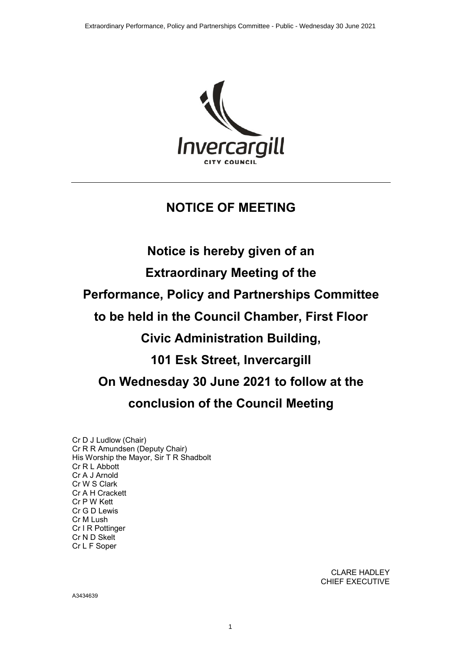

# **NOTICE OF MEETING**

**Notice is hereby given of an Extraordinary Meeting of the Performance, Policy and Partnerships Committee to be held in the Council Chamber, First Floor Civic Administration Building, 101 Esk Street, Invercargill On Wednesday 30 June 2021 to follow at the conclusion of the Council Meeting**

Cr D J Ludlow (Chair) Cr R R Amundsen (Deputy Chair) His Worship the Mayor, Sir T R Shadbolt Cr R L Abbott Cr A J Arnold Cr W S Clark Cr A H Crackett Cr P W Kett Cr G D Lewis Cr M Lush Cr I R Pottinger Cr N D Skelt Cr L F Soper

> CLARE HADLEY CHIEF EXECUTIVE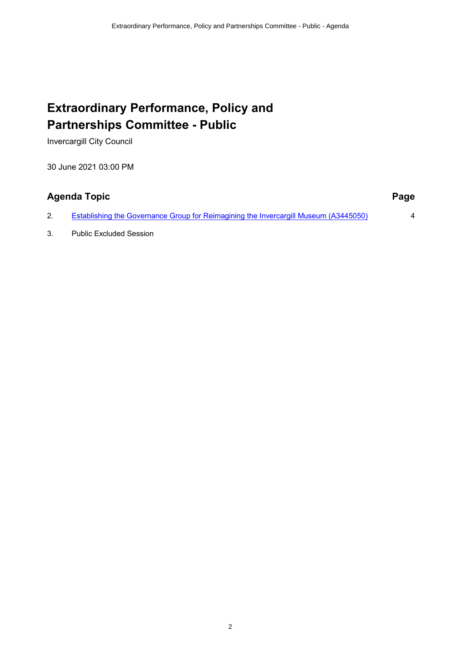# **Extraordinary Performance, Policy and Partnerships Committee - Public**

Invercargill City Council

30 June 2021 03:00 PM

# **Agenda Topic Page**

2. [Establishing the Governance Group for Reimagining the Invercargill Museum \(A3445050\)](#page-3-0) 4

3. Public Excluded Session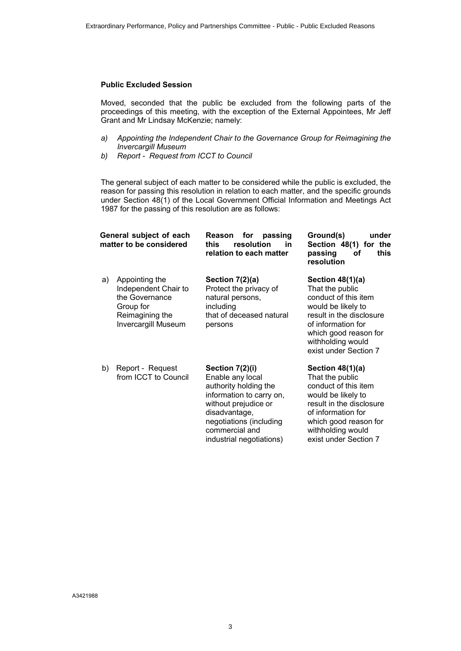#### **Public Excluded Session**

Moved, seconded that the public be excluded from the following parts of the proceedings of this meeting, with the exception of the External Appointees, Mr Jeff Grant and Mr Lindsay McKenzie; namely:

- *a) Appointing the Independent Chair to the Governance Group for Reimagining the Invercargill Museum*
- *b) Report Request from ICCT to Council*

The general subject of each matter to be considered while the public is excluded, the reason for passing this resolution in relation to each matter, and the specific grounds under Section 48(1) of the Local Government Official Information and Meetings Act 1987 for the passing of this resolution are as follows:

| General subject of each<br>matter to be considered |                                                                                                                        | for<br>passing<br>Reason<br>resolution<br>in<br>this<br>relation to each matter                                                                                                                            | Ground(s)<br>under<br>Section 48(1) for the<br>passing<br>this<br>οf<br>resolution                                                                                                                           |
|----------------------------------------------------|------------------------------------------------------------------------------------------------------------------------|------------------------------------------------------------------------------------------------------------------------------------------------------------------------------------------------------------|--------------------------------------------------------------------------------------------------------------------------------------------------------------------------------------------------------------|
| a)                                                 | Appointing the<br>Independent Chair to<br>the Governance<br>Group for<br>Reimagining the<br><b>Invercargill Museum</b> | Section 7(2)(a)<br>Protect the privacy of<br>natural persons,<br>including<br>that of deceased natural<br>persons                                                                                          | Section $48(1)(a)$<br>That the public<br>conduct of this item<br>would be likely to<br>result in the disclosure<br>of information for<br>which good reason for<br>withholding would<br>exist under Section 7 |
| b)                                                 | Report - Request<br>from ICCT to Council                                                                               | Section 7(2)(i)<br>Enable any local<br>authority holding the<br>information to carry on,<br>without prejudice or<br>disadvantage,<br>negotiations (including<br>commercial and<br>industrial negotiations) | Section $48(1)(a)$<br>That the public<br>conduct of this item<br>would be likely to<br>result in the disclosure<br>of information for<br>which good reason for<br>withholding would<br>exist under Section 7 |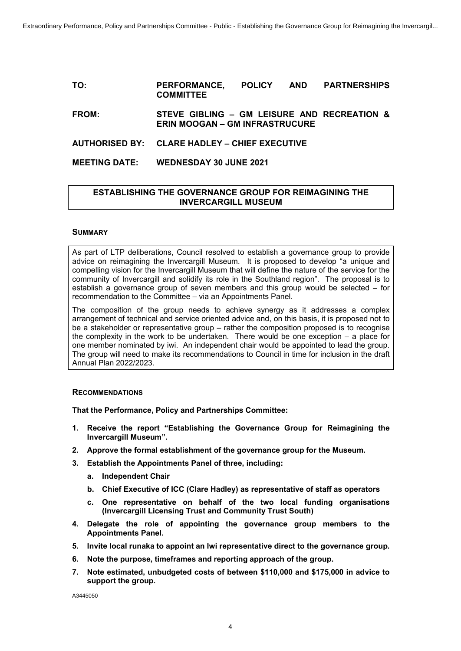#### <span id="page-3-0"></span>**TO: PERFORMANCE, POLICY AND PARTNERSHIPS COMMITTEE**

**FROM: STEVE GIBLING – GM LEISURE AND RECREATION & ERIN MOOGAN – GM INFRASTRUCURE**

# **AUTHORISED BY: CLARE HADLEY – CHIEF EXECUTIVE**

### **MEETING DATE: WEDNESDAY 30 JUNE 2021**

# **ESTABLISHING THE GOVERNANCE GROUP FOR REIMAGINING THE INVERCARGILL MUSEUM**

#### **SUMMARY**

As part of LTP deliberations, Council resolved to establish a governance group to provide advice on reimagining the Invercargill Museum. It is proposed to develop "a unique and compelling vision for the Invercargill Museum that will define the nature of the service for the community of Invercargill and solidify its role in the Southland region". The proposal is to establish a governance group of seven members and this group would be selected – for recommendation to the Committee – via an Appointments Panel.

The composition of the group needs to achieve synergy as it addresses a complex arrangement of technical and service oriented advice and, on this basis, it is proposed not to be a stakeholder or representative group – rather the composition proposed is to recognise the complexity in the work to be undertaken. There would be one exception – a place for one member nominated by iwi. An independent chair would be appointed to lead the group. The group will need to make its recommendations to Council in time for inclusion in the draft Annual Plan 2022/2023.

#### **RECOMMENDATIONS**

**That the Performance, Policy and Partnerships Committee:**

- **1. Receive the report "Establishing the Governance Group for Reimagining the Invercargill Museum".**
- **2. Approve the formal establishment of the governance group for the Museum.**
- **3. Establish the Appointments Panel of three, including:**
	- **a. Independent Chair**
	- **b. Chief Executive of ICC (Clare Hadley) as representative of staff as operators**
	- **c. One representative on behalf of the two local funding organisations (Invercargill Licensing Trust and Community Trust South)**
- **4. Delegate the role of appointing the governance group members to the Appointments Panel.**
- **5. Invite local runaka to appoint an Iwi representative direct to the governance group.**
- **6. Note the purpose, timeframes and reporting approach of the group.**
- **7. Note estimated, unbudgeted costs of between \$110,000 and \$175,000 in advice to support the group.**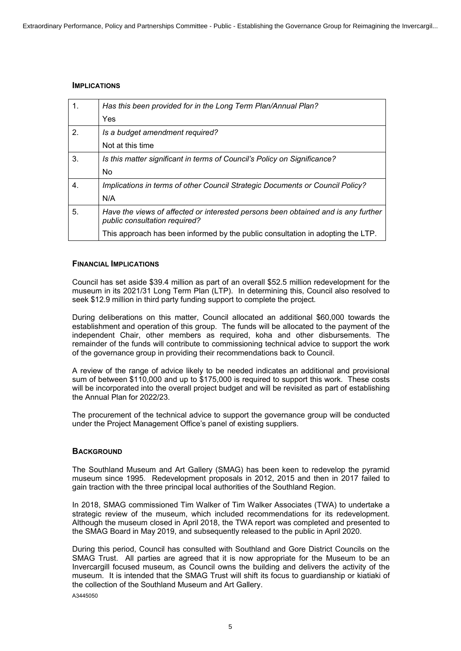# **IMPLICATIONS**

| $\mathbf{1}$ . | Has this been provided for in the Long Term Plan/Annual Plan?                                                      |
|----------------|--------------------------------------------------------------------------------------------------------------------|
|                | Yes                                                                                                                |
| 2.             | Is a budget amendment required?                                                                                    |
|                | Not at this time                                                                                                   |
| 3.             | Is this matter significant in terms of Council's Policy on Significance?                                           |
|                | <b>No</b>                                                                                                          |
| 4.             | Implications in terms of other Council Strategic Documents or Council Policy?                                      |
|                | N/A                                                                                                                |
| 5.             | Have the views of affected or interested persons been obtained and is any further<br>public consultation required? |
|                | This approach has been informed by the public consultation in adopting the LTP.                                    |

### **FINANCIAL IMPLICATIONS**

Council has set aside \$39.4 million as part of an overall \$52.5 million redevelopment for the museum in its 2021/31 Long Term Plan (LTP). In determining this, Council also resolved to seek \$12.9 million in third party funding support to complete the project.

During deliberations on this matter, Council allocated an additional \$60,000 towards the establishment and operation of this group. The funds will be allocated to the payment of the independent Chair, other members as required, koha and other disbursements. The remainder of the funds will contribute to commissioning technical advice to support the work of the governance group in providing their recommendations back to Council.

A review of the range of advice likely to be needed indicates an additional and provisional sum of between \$110,000 and up to \$175,000 is required to support this work. These costs will be incorporated into the overall project budget and will be revisited as part of establishing the Annual Plan for 2022/23.

The procurement of the technical advice to support the governance group will be conducted under the Project Management Office's panel of existing suppliers.

#### **BACKGROUND**

The Southland Museum and Art Gallery (SMAG) has been keen to redevelop the pyramid museum since 1995. Redevelopment proposals in 2012, 2015 and then in 2017 failed to gain traction with the three principal local authorities of the Southland Region.

In 2018, SMAG commissioned Tim Walker of Tim Walker Associates (TWA) to undertake a strategic review of the museum, which included recommendations for its redevelopment. Although the museum closed in April 2018, the TWA report was completed and presented to the SMAG Board in May 2019, and subsequently released to the public in April 2020.

A3445050 During this period, Council has consulted with Southland and Gore District Councils on the SMAG Trust. All parties are agreed that it is now appropriate for the Museum to be an Invercargill focused museum, as Council owns the building and delivers the activity of the museum. It is intended that the SMAG Trust will shift its focus to guardianship or kiatiaki of the collection of the Southland Museum and Art Gallery.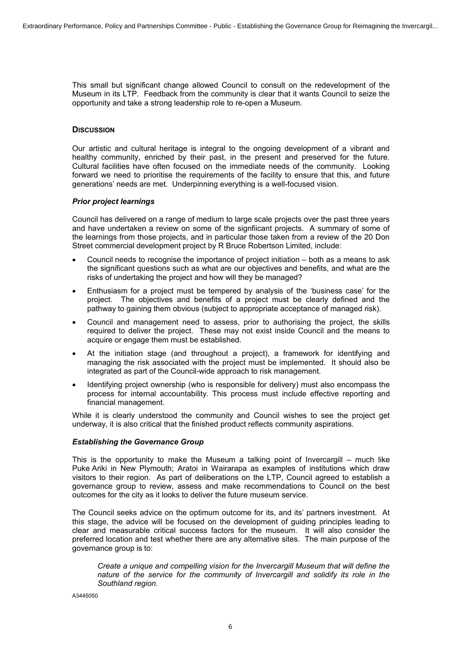This small but significant change allowed Council to consult on the redevelopment of the Museum in its LTP. Feedback from the community is clear that it wants Council to seize the opportunity and take a strong leadership role to re-open a Museum.

# **DISCUSSION**

Our artistic and cultural heritage is integral to the ongoing development of a vibrant and healthy community, enriched by their past, in the present and preserved for the future. Cultural facilities have often focused on the immediate needs of the community. Looking forward we need to prioritise the requirements of the facility to ensure that this, and future generations' needs are met. Underpinning everything is a well-focused vision.

#### *Prior project learnings*

Council has delivered on a range of medium to large scale projects over the past three years and have undertaken a review on some of the signfiicant projects. A summary of some of the learnings from those projects, and in particular those taken from a review of the 20 Don Street commercial development project by R Bruce Robertson Limited, include:

- ∑ Council needs to recognise the importance of project initiation both as a means to ask the significant questions such as what are our objectives and benefits, and what are the risks of undertaking the project and how will they be managed?
- ∑ Enthusiasm for a project must be tempered by analysis of the 'business case' for the project. The objectives and benefits of a project must be clearly defined and the pathway to gaining them obvious (subject to appropriate acceptance of managed risk).
- ∑ Council and management need to assess, prior to authorising the project, the skills required to deliver the project. These may not exist inside Council and the means to acquire or engage them must be established.
- ∑ At the initiation stage (and throughout a project), a framework for identifying and managing the risk associated with the project must be implemented. It should also be integrated as part of the Council-wide approach to risk management.
- Identifying project ownership (who is responsible for delivery) must also encompass the process for internal accountability. This process must include effective reporting and financial management.

While it is clearly understood the community and Council wishes to see the project get underway, it is also critical that the finished product reflects community aspirations.

#### *Establishing the Governance Group*

This is the opportunity to make the Museum a talking point of Invercargill – much like Puke Ariki in New Plymouth; Aratoi in Wairarapa as examples of institutions which draw visitors to their region. As part of deliberations on the LTP, Council agreed to establish a governance group to review, assess and make recommendations to Council on the best outcomes for the city as it looks to deliver the future museum service.

The Council seeks advice on the optimum outcome for its, and its' partners investment. At this stage, the advice will be focused on the development of guiding principles leading to clear and measurable critical success factors for the museum. It will also consider the preferred location and test whether there are any alternative sites. The main purpose of the governance group is to:

*Create a unique and compelling vision for the Invercargill Museum that will define the nature of the service for the community of Invercargill and solidify its role in the Southland region.*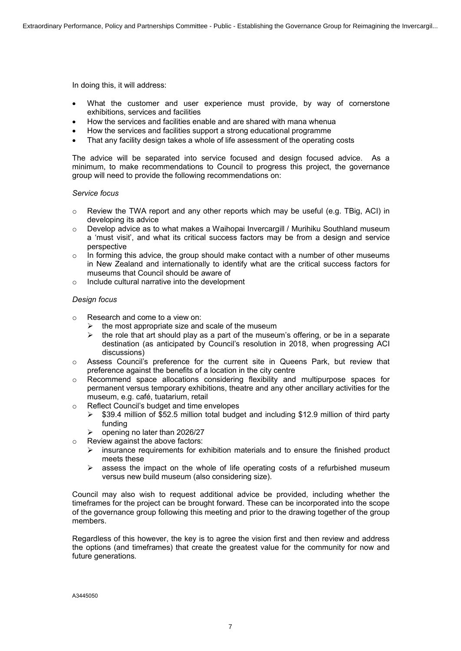In doing this, it will address:

- What the customer and user experience must provide, by way of cornerstone exhibitions, services and facilities
- ∑ How the services and facilities enable and are shared with mana whenua
- How the services and facilities support a strong educational programme
- That any facility design takes a whole of life assessment of the operating costs

The advice will be separated into service focused and design focused advice. As a minimum, to make recommendations to Council to progress this project, the governance group will need to provide the following recommendations on:

#### *Service focus*

- $\circ$  Review the TWA report and any other reports which may be useful (e.g. TBig, ACI) in developing its advice
- $\circ$  Develop advice as to what makes a Waihopai Invercargill / Murihiku Southland museum a 'must visit', and what its critical success factors may be from a design and service perspective
- $\circ$  In forming this advice, the group should make contact with a number of other museums in New Zealand and internationally to identify what are the critical success factors for museums that Council should be aware of
- o Include cultural narrative into the development

#### *Design focus*

- o Research and come to a view on:
	- $\triangleright$  the most appropriate size and scale of the museum
	- $\triangleright$  the role that art should play as a part of the museum's offering, or be in a separate destination (as anticipated by Council's resolution in 2018, when progressing ACI discussions)
- $\circ$  Assess Council's preference for the current site in Queens Park, but review that preference against the benefits of a location in the city centre
- $\circ$  Recommend space allocations considering flexibility and multipurpose spaces for permanent versus temporary exhibitions, theatre and any other ancillary activities for the museum, e.g. café, tuatarium, retail
- o Reflect Council's budget and time envelopes
	- $\triangleright$  \$39.4 million of \$52.5 million total budget and including \$12.9 million of third party funding
		- $\triangleright$  opening no later than 2026/27
- o Review against the above factors:
	- $\triangleright$  insurance requirements for exhibition materials and to ensure the finished product meets these
	- $\triangleright$  assess the impact on the whole of life operating costs of a refurbished museum versus new build museum (also considering size).

Council may also wish to request additional advice be provided, including whether the timeframes for the project can be brought forward. These can be incorporated into the scope of the governance group following this meeting and prior to the drawing together of the group members.

Regardless of this however, the key is to agree the vision first and then review and address the options (and timeframes) that create the greatest value for the community for now and future generations.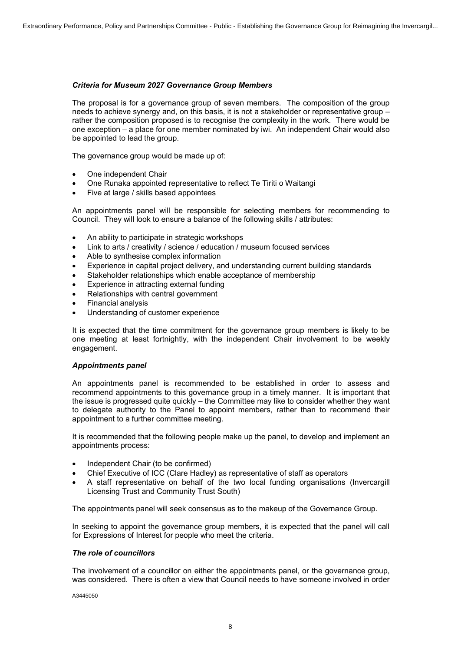#### *Criteria for Museum 2027 Governance Group Members*

The proposal is for a governance group of seven members. The composition of the group needs to achieve synergy and, on this basis, it is not a stakeholder or representative group – rather the composition proposed is to recognise the complexity in the work. There would be one exception – a place for one member nominated by iwi. An independent Chair would also be appointed to lead the group.

The governance group would be made up of:

- ∑ One independent Chair
- ∑ One Runaka appointed representative to reflect Te Tiriti o Waitangi
- Five at large / skills based appointees

An appointments panel will be responsible for selecting members for recommending to Council. They will look to ensure a balance of the following skills / attributes:

- ∑ An ability to participate in strategic workshops
- Link to arts / creativity / science / education / museum focused services
- ∑ Able to synthesise complex information
- Experience in capital project delivery, and understanding current building standards
- Stakeholder relationships which enable acceptance of membership
- Experience in attracting external funding
- Relationships with central government
- ∑ Financial analysis
- ∑ Understanding of customer experience

It is expected that the time commitment for the governance group members is likely to be one meeting at least fortnightly, with the independent Chair involvement to be weekly engagement.

#### *Appointments panel*

An appointments panel is recommended to be established in order to assess and recommend appointments to this governance group in a timely manner. It is important that the issue is progressed quite quickly – the Committee may like to consider whether they want to delegate authority to the Panel to appoint members, rather than to recommend their appointment to a further committee meeting.

It is recommended that the following people make up the panel, to develop and implement an appointments process:

- Independent Chair (to be confirmed)
- Chief Executive of ICC (Clare Hadley) as representative of staff as operators
- ∑ A staff representative on behalf of the two local funding organisations (Invercargill Licensing Trust and Community Trust South)

The appointments panel will seek consensus as to the makeup of the Governance Group.

In seeking to appoint the governance group members, it is expected that the panel will call for Expressions of Interest for people who meet the criteria.

#### *The role of councillors*

The involvement of a councillor on either the appointments panel, or the governance group, was considered. There is often a view that Council needs to have someone involved in order